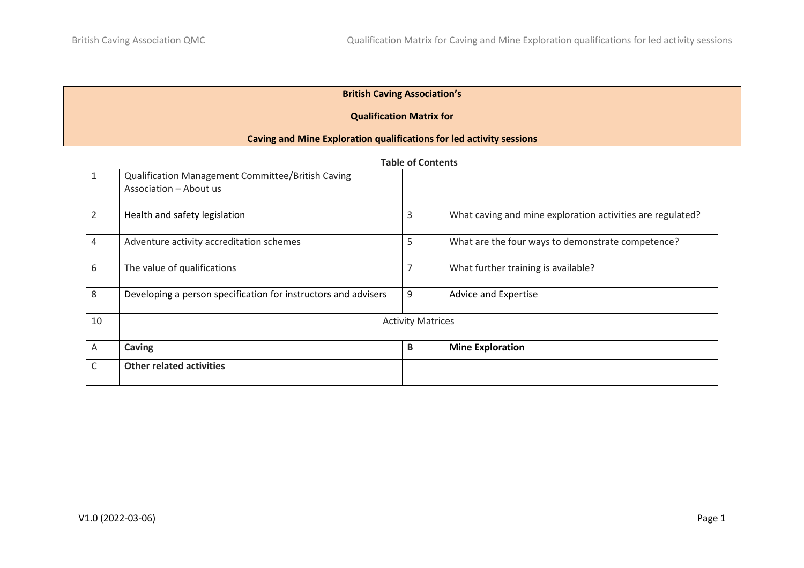## **British Caving Association's**

### **Qualification Matrix for**

### **Caving and Mine Exploration qualifications for led activity sessions**

| $\mathbf{1}$   | Qualification Management Committee/British Caving<br>Association - About us |                          |                                                            |  |
|----------------|-----------------------------------------------------------------------------|--------------------------|------------------------------------------------------------|--|
| $\overline{2}$ | Health and safety legislation                                               | 3                        | What caving and mine exploration activities are regulated? |  |
| 4              | Adventure activity accreditation schemes                                    | 5                        | What are the four ways to demonstrate competence?          |  |
| 6              | The value of qualifications                                                 | 7                        | What further training is available?                        |  |
| 8              | Developing a person specification for instructors and advisers              | 9                        | <b>Advice and Expertise</b>                                |  |
| 10             |                                                                             | <b>Activity Matrices</b> |                                                            |  |
| $\overline{A}$ | Caving                                                                      | $\mathbf B$              | <b>Mine Exploration</b>                                    |  |
| $\mathsf{C}$   | <b>Other related activities</b>                                             |                          |                                                            |  |

#### **Table of Contents**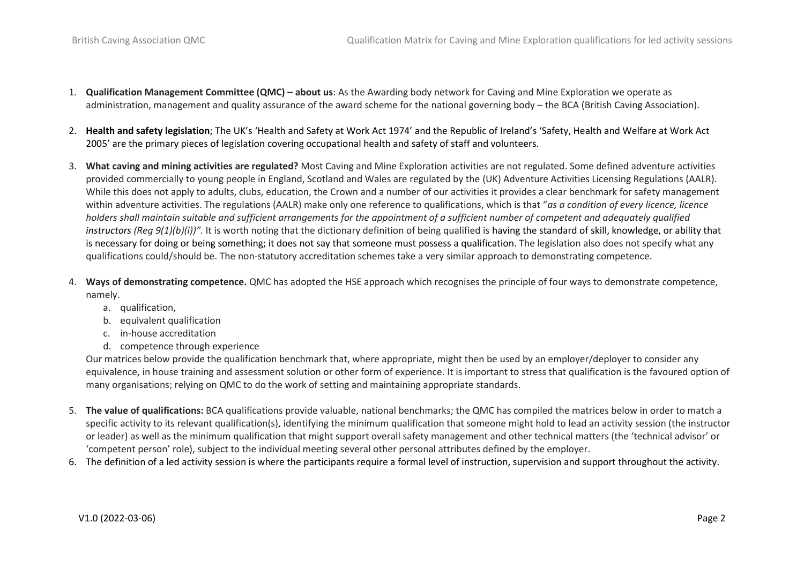- 1. **Qualification Management Committee (QMC) – about us**: As the Awarding body network for Caving and Mine Exploration we operate as administration, management and quality assurance of the award scheme for the national governing body – the BCA (British Caving Association).
- 2. **Health and safety legislation**; The UK's 'Health and Safety at Work Act 1974' and the Republic of Ireland's 'Safety, Health and Welfare at Work Act 2005' are the primary pieces of legislation covering occupational health and safety of staff and volunteers.
- 3. **What caving and mining activities are regulated?** Most Caving and Mine Exploration activities are not regulated. Some defined adventure activities provided commercially to young people in England, Scotland and Wales are regulated by the (UK) Adventure Activities Licensing Regulations (AALR). While this does not apply to adults, clubs, education, the Crown and a number of our activities it provides a clear benchmark for safety management within adventure activities. The regulations (AALR) make only one reference to qualifications, which is that "*as a condition of every licence, licence holders shall maintain suitable and sufficient arrangements for the appointment of a sufficient number of competent and adequately qualified instructors (Reg 9(1)(b)(i))".* It is worth noting that the dictionary definition of being qualified is having the [standard](https://dictionary.cambridge.org/dictionary/english/standard) of [skill,](https://dictionary.cambridge.org/dictionary/english/skill) [knowledge,](https://dictionary.cambridge.org/dictionary/english/knowledge) or [ability](https://dictionary.cambridge.org/dictionary/english/ability) that is [necessary](https://dictionary.cambridge.org/dictionary/english/necessary) for doing or being something; it does not say that someone must possess a qualification. The legislation also does not specify what any qualifications could/should be. The non-statutory accreditation schemes take a very similar approach to demonstrating competence.
- 4. **Ways of demonstrating competence.** QMC has adopted the HSE approach which recognises the principle of four ways to demonstrate competence, namely.
	- a. qualification,
	- b. equivalent qualification
	- c. in-house accreditation
	- d. competence through experience

Our matrices below provide the qualification benchmark that, where appropriate, might then be used by an employer/deployer to consider any equivalence, in house training and assessment solution or other form of experience. It is important to stress that qualification is the favoured option of many organisations; relying on QMC to do the work of setting and maintaining appropriate standards.

- 5. **The value of qualifications:** BCA qualifications provide valuable, national benchmarks; the QMC has compiled the matrices below in order to match a specific activity to its relevant qualification(s), identifying the minimum qualification that someone might hold to lead an activity session (the instructor or leader) as well as the minimum qualification that might support overall safety management and other technical matters (the 'technical advisor' or 'competent person' role), subject to the individual meeting several other personal attributes defined by the employer.
- 6. The definition of a led activity session is where the participants require a formal level of instruction, supervision and support throughout the activity.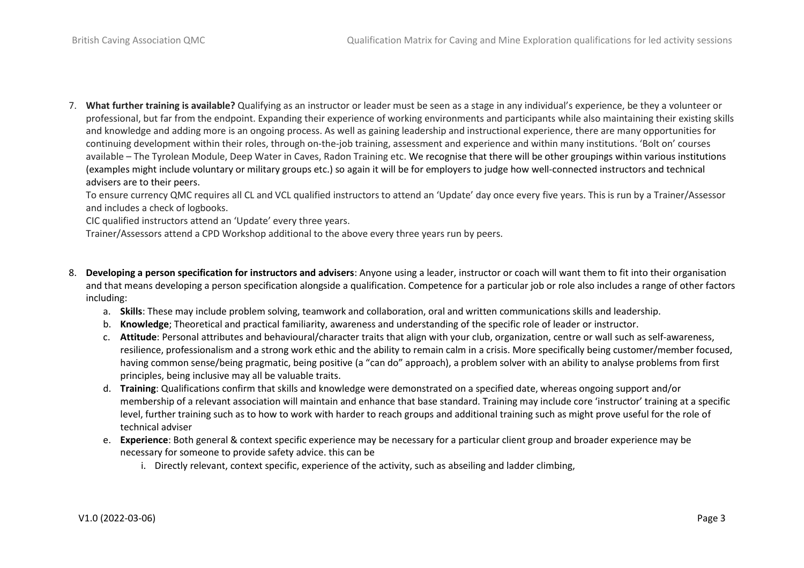7. **What further training is available?** Qualifying as an instructor or leader must be seen as a stage in any individual's experience, be they a volunteer or professional, but far from the endpoint. Expanding their experience of working environments and participants while also maintaining their existing skills and knowledge and adding more is an ongoing process. As well as gaining leadership and instructional experience, there are many opportunities for continuing development within their roles, through on-the-job training, assessment and experience and within many institutions. 'Bolt on' courses available – The Tyrolean Module, Deep Water in Caves, Radon Training etc. We recognise that there will be other groupings within various institutions (examples might include voluntary or military groups etc.) so again it will be for employers to judge how well-connected instructors and technical advisers are to their peers.

To ensure currency QMC requires all CL and VCL qualified instructors to attend an 'Update' day once every five years. This is run by a Trainer/Assessor and includes a check of logbooks.

CIC qualified instructors attend an 'Update' every three years.

Trainer/Assessors attend a CPD Workshop additional to the above every three years run by peers.

- 8. **Developing a person specification for instructors and advisers**: Anyone using a leader, instructor or coach will want them to fit into their organisation and that means developing a person specification alongside a qualification. Competence for a particular job or role also includes a range of other factors including:
	- a. **Skills**: These may include problem solving, teamwork and collaboration, oral and written communications skills and leadership.
	- b. **Knowledge**; Theoretical and practical familiarity, awareness and understanding of the specific role of leader or instructor.
	- c. **Attitude**: Personal attributes and behavioural/character traits that align with your club, organization, centre or wall such as self-awareness, resilience, professionalism and a strong work ethic and the ability to remain calm in a crisis. More specifically being customer/member focused, having common sense/being pragmatic, being positive (a "can do" approach), a problem solver with an ability to analyse problems from first principles, being inclusive may all be valuable traits.
	- d. **Training**: Qualifications confirm that skills and knowledge were demonstrated on a specified date, whereas ongoing support and/or membership of a relevant association will maintain and enhance that base standard. Training may include core 'instructor' training at a specific level, further training such as to how to work with harder to reach groups and additional training such as might prove useful for the role of technical adviser
	- e. **Experience**: Both general & context specific experience may be necessary for a particular client group and broader experience may be necessary for someone to provide safety advice. this can be
		- i. Directly relevant, context specific, experience of the activity, such as abseiling and ladder climbing,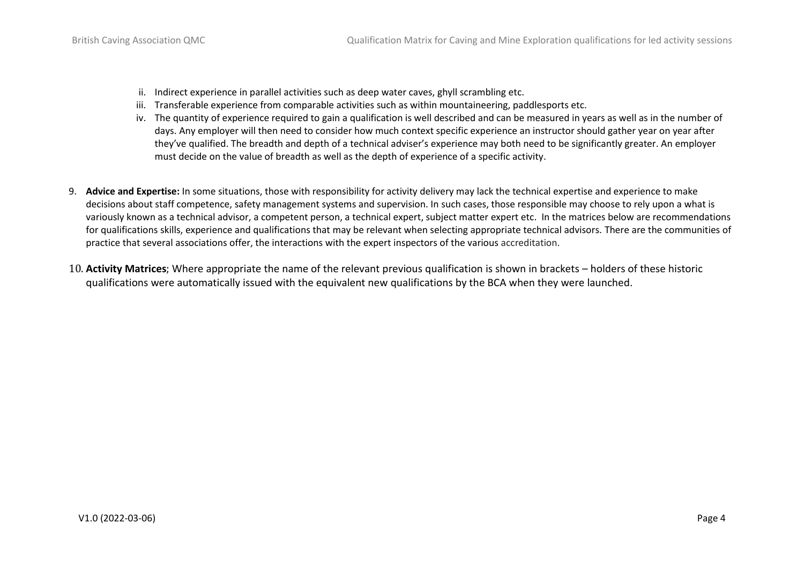- ii. Indirect experience in parallel activities such as deep water caves, ghyll scrambling etc.
- iii. Transferable experience from comparable activities such as within mountaineering, paddlesports etc.
- iv. The quantity of experience required to gain a qualification is well described and can be measured in years as well as in the number of days. Any employer will then need to consider how much context specific experience an instructor should gather year on year after they've qualified. The breadth and depth of a technical adviser's experience may both need to be significantly greater. An employer must decide on the value of breadth as well as the depth of experience of a specific activity.
- 9. **Advice and Expertise:** In some situations, those with responsibility for activity delivery may lack the technical expertise and experience to make decisions about staff competence, safety management systems and supervision. In such cases, those responsible may choose to rely upon a what is variously known as a technical advisor, a competent person, a technical expert, subject matter expert etc. In the matrices below are recommendations for qualifications skills, experience and qualifications that may be relevant when selecting appropriate technical advisors. There are the communities of practice that several associations offer, the interactions with the expert inspectors of the various accreditation.
- 10. **Activity Matrices**; Where appropriate the name of the relevant previous qualification is shown in brackets holders of these historic qualifications were automatically issued with the equivalent new qualifications by the BCA when they were launched.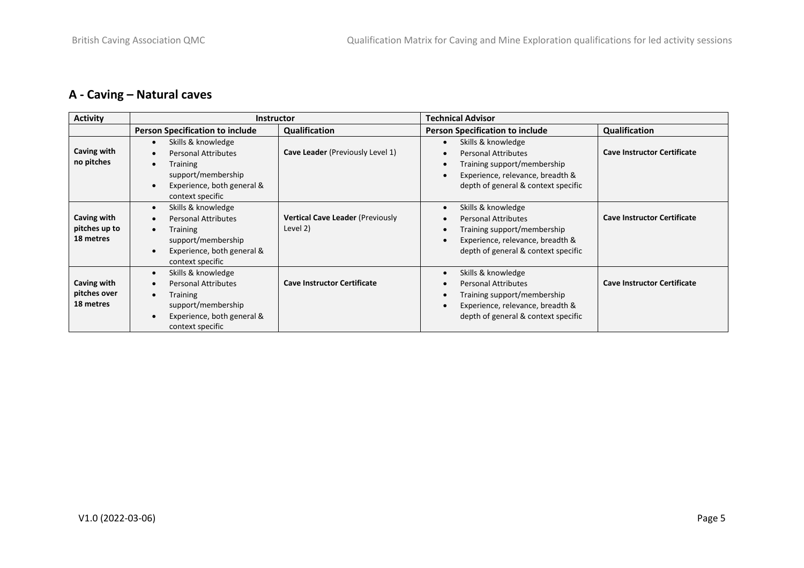# **A - Caving – Natural caves**

| <b>Activity</b>                           | <b>Instructor</b>                                                                                                                                                     |                                                     | <b>Technical Advisor</b>                                                                                                                                                                                       |                                    |  |
|-------------------------------------------|-----------------------------------------------------------------------------------------------------------------------------------------------------------------------|-----------------------------------------------------|----------------------------------------------------------------------------------------------------------------------------------------------------------------------------------------------------------------|------------------------------------|--|
|                                           | <b>Person Specification to include</b>                                                                                                                                | Qualification                                       | <b>Person Specification to include</b>                                                                                                                                                                         | Qualification                      |  |
| Caving with<br>no pitches                 | Skills & knowledge<br>$\bullet$<br><b>Personal Attributes</b><br><b>Training</b><br>support/membership<br>Experience, both general &<br>context specific              | Cave Leader (Previously Level 1)                    | Skills & knowledge<br>$\bullet$<br><b>Personal Attributes</b><br>$\bullet$<br>Training support/membership<br>$\bullet$<br>Experience, relevance, breadth &<br>$\bullet$<br>depth of general & context specific | <b>Cave Instructor Certificate</b> |  |
| Caving with<br>pitches up to<br>18 metres | Skills & knowledge<br>$\bullet$<br><b>Personal Attributes</b><br><b>Training</b><br>support/membership<br>Experience, both general &<br>context specific              | <b>Vertical Cave Leader (Previously</b><br>Level 2) | Skills & knowledge<br>$\bullet$<br><b>Personal Attributes</b><br>$\bullet$<br>Training support/membership<br>$\bullet$<br>Experience, relevance, breadth &<br>$\bullet$<br>depth of general & context specific | <b>Cave Instructor Certificate</b> |  |
| Caving with<br>pitches over<br>18 metres  | Skills & knowledge<br>$\bullet$<br><b>Personal Attributes</b><br>$\bullet$<br><b>Training</b><br>support/membership<br>Experience, both general &<br>context specific | <b>Cave Instructor Certificate</b>                  | Skills & knowledge<br>$\bullet$<br><b>Personal Attributes</b><br>$\bullet$<br>Training support/membership<br>$\bullet$<br>Experience, relevance, breadth &<br>$\bullet$<br>depth of general & context specific | <b>Cave Instructor Certificate</b> |  |